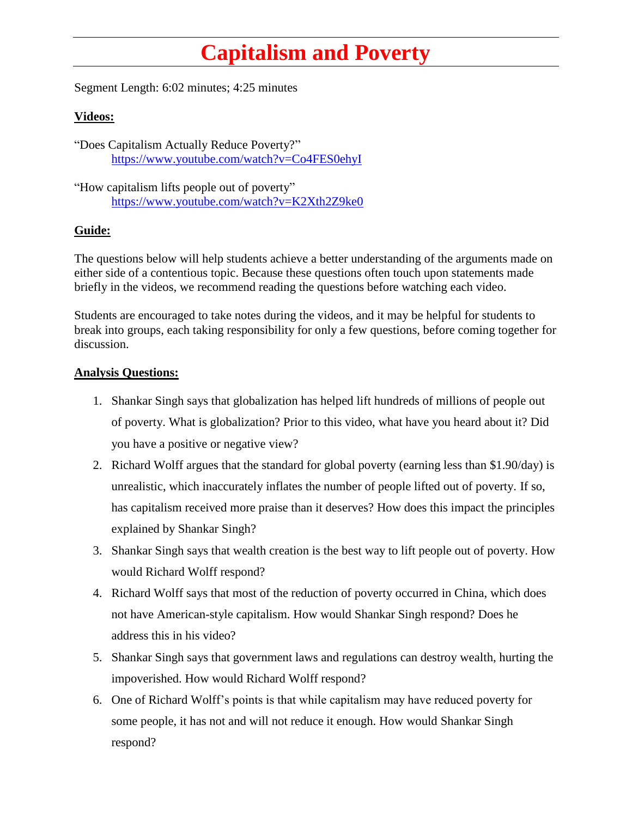## **Capitalism and Poverty**

Segment Length: 6:02 minutes; 4:25 minutes

## **Videos:**

"Does Capitalism Actually Reduce Poverty?" <https://www.youtube.com/watch?v=Co4FES0ehyI>

"How capitalism lifts people out of poverty" [https://www.youtube.com/watch?v=K2Xth2Z9ke0](https://www.youtube.com/watch?v=YYTBU3In-wY)

## **Guide:**

The questions below will help students achieve a better understanding of the arguments made on either side of a contentious topic. Because these questions often touch upon statements made briefly in the videos, we recommend reading the questions before watching each video.

Students are encouraged to take notes during the videos, and it may be helpful for students to break into groups, each taking responsibility for only a few questions, before coming together for discussion.

## **Analysis Questions:**

- 1. Shankar Singh says that globalization has helped lift hundreds of millions of people out of poverty. What is globalization? Prior to this video, what have you heard about it? Did you have a positive or negative view?
- 2. Richard Wolff argues that the standard for global poverty (earning less than \$1.90/day) is unrealistic, which inaccurately inflates the number of people lifted out of poverty. If so, has capitalism received more praise than it deserves? How does this impact the principles explained by Shankar Singh?
- 3. Shankar Singh says that wealth creation is the best way to lift people out of poverty. How would Richard Wolff respond?
- 4. Richard Wolff says that most of the reduction of poverty occurred in China, which does not have American-style capitalism. How would Shankar Singh respond? Does he address this in his video?
- 5. Shankar Singh says that government laws and regulations can destroy wealth, hurting the impoverished. How would Richard Wolff respond?
- 6. One of Richard Wolff's points is that while capitalism may have reduced poverty for some people, it has not and will not reduce it enough. How would Shankar Singh respond?